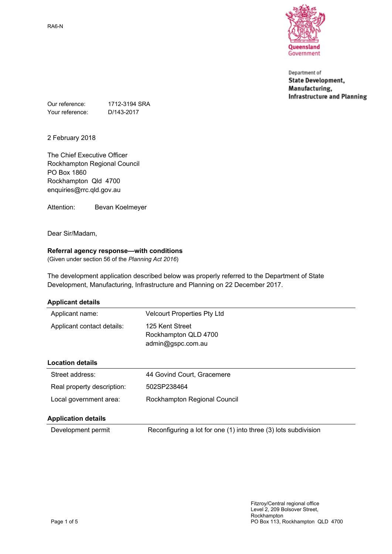

Department of **State Development,** Manufacturing, **Infrastructure and Planning** 

Our reference: 1712-3194 SRA Your reference: D/143-2017

2 February 2018

The Chief Executive Officer Rockhampton Regional Council PO Box 1860 Rockhampton Qld 4700 enquiries@rrc.qld.gov.au

Attention: Bevan Koelmeyer

Dear Sir/Madam,

# **Referral agency response—with conditions**

(Given under section 56 of the *Planning Act 2016*)

The development application described below was properly referred to the Department of State Development, Manufacturing, Infrastructure and Planning on 22 December 2017.

| Applicant name:            | <b>Velcourt Properties Pty Ltd</b>                           |
|----------------------------|--------------------------------------------------------------|
|                            |                                                              |
| Applicant contact details: | 125 Kent Street<br>Rockhampton QLD 4700<br>admin@gspc.com.au |
| <b>Location details</b>    |                                                              |
| Street address:            | 44 Govind Court, Gracemere                                   |
| Real property description: | 502SP238464                                                  |
| Local government area:     | Rockhampton Regional Council                                 |
| <b>Application details</b> |                                                              |

Development permit Reconfiguring a lot for one (1) into three (3) lots subdivision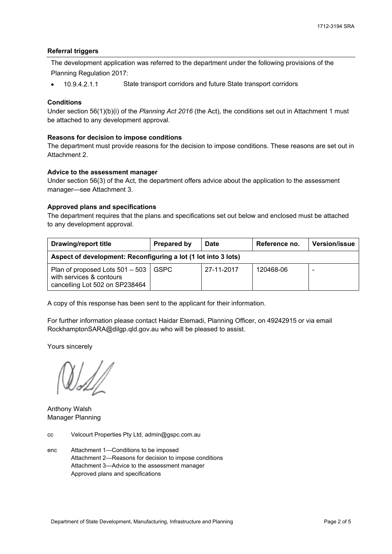#### **Referral triggers**

The development application was referred to the department under the following provisions of the Planning Regulation 2017:

• 10.9.4.2.1.1 State transport corridors and future State transport corridors

# **Conditions**

Under section 56(1)(b)(i) of the *Planning Act 2016* (the Act), the conditions set out in Attachment 1 must be attached to any development approval.

#### **Reasons for decision to impose conditions**

The department must provide reasons for the decision to impose conditions. These reasons are set out in Attachment 2.

#### **Advice to the assessment manager**

Under section 56(3) of the Act, the department offers advice about the application to the assessment manager—see Attachment 3.

#### **Approved plans and specifications**

The department requires that the plans and specifications set out below and enclosed must be attached to any development approval.

| <b>Drawing/report title</b>                                                                   | Prepared by | <b>Date</b> | Reference no. | <b>Version/issue</b> |
|-----------------------------------------------------------------------------------------------|-------------|-------------|---------------|----------------------|
| Aspect of development: Reconfiguring a lot (1 lot into 3 lots)                                |             |             |               |                      |
| Plan of proposed Lots 501 - 503<br>with services & contours<br>cancelling Lot 502 on SP238464 | <b>GSPC</b> | 27-11-2017  | 120468-06     |                      |

A copy of this response has been sent to the applicant for their information.

For further information please contact Haidar Etemadi, Planning Officer, on 49242915 or via email RockhamptonSARA@dilgp.qld.gov.au who will be pleased to assist.

Yours sincerely

Anthony Walsh Manager Planning

- cc Velcourt Properties Pty Ltd, admin@gspc.com.au
- enc Attachment 1—Conditions to be imposed Attachment 2—Reasons for decision to impose conditions Attachment 3—Advice to the assessment manager Approved plans and specifications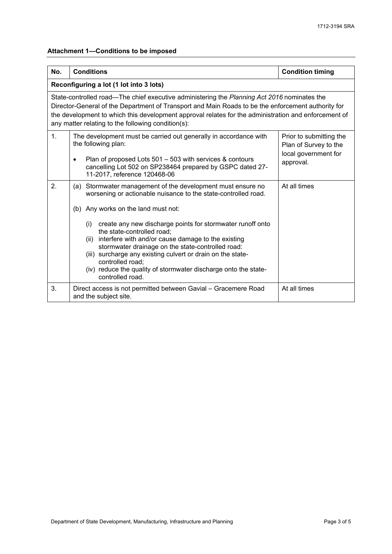# **Attachment 1—Conditions to be imposed**

| No. | <b>Conditions</b>                                                                                                                                                                                                                                                                                                                                                                                                                                                                                                                                                       | <b>Condition timing</b>                                                               |  |  |
|-----|-------------------------------------------------------------------------------------------------------------------------------------------------------------------------------------------------------------------------------------------------------------------------------------------------------------------------------------------------------------------------------------------------------------------------------------------------------------------------------------------------------------------------------------------------------------------------|---------------------------------------------------------------------------------------|--|--|
|     | Reconfiguring a lot (1 lot into 3 lots)                                                                                                                                                                                                                                                                                                                                                                                                                                                                                                                                 |                                                                                       |  |  |
|     | State-controlled road—The chief executive administering the Planning Act 2016 nominates the<br>Director-General of the Department of Transport and Main Roads to be the enforcement authority for<br>the development to which this development approval relates for the administration and enforcement of<br>any matter relating to the following condition(s):                                                                                                                                                                                                         |                                                                                       |  |  |
| 1.  | The development must be carried out generally in accordance with<br>the following plan:<br>Plan of proposed Lots 501 - 503 with services & contours<br>$\bullet$<br>cancelling Lot 502 on SP238464 prepared by GSPC dated 27-<br>11-2017, reference 120468-06                                                                                                                                                                                                                                                                                                           | Prior to submitting the<br>Plan of Survey to the<br>local government for<br>approval. |  |  |
| 2.  | (a) Stormwater management of the development must ensure no<br>worsening or actionable nuisance to the state-controlled road.<br>(b) Any works on the land must not:<br>create any new discharge points for stormwater runoff onto<br>(i)<br>the state-controlled road;<br>interfere with and/or cause damage to the existing<br>(ii)<br>stormwater drainage on the state-controlled road:<br>surcharge any existing culvert or drain on the state-<br>(iii)<br>controlled road;<br>(iv) reduce the quality of stormwater discharge onto the state-<br>controlled road. | At all times                                                                          |  |  |
| 3.  | Direct access is not permitted between Gavial - Gracemere Road<br>and the subject site.                                                                                                                                                                                                                                                                                                                                                                                                                                                                                 | At all times                                                                          |  |  |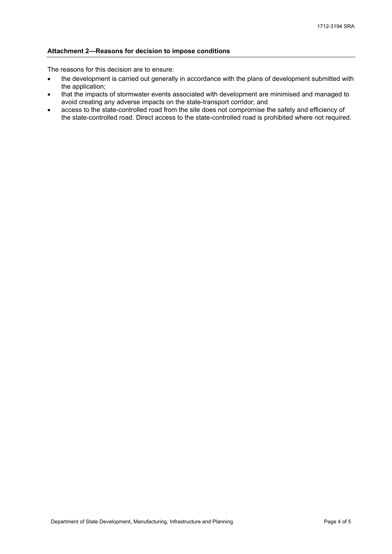#### **Attachment 2—Reasons for decision to impose conditions**

The reasons for this decision are to ensure:

- the development is carried out generally in accordance with the plans of development submitted with the application;
- that the impacts of stormwater events associated with development are minimised and managed to avoid creating any adverse impacts on the state-transport corridor; and
- access to the state-controlled road from the site does not compromise the safety and efficiency of the state-controlled road. Direct access to the state-controlled road is prohibited where not required.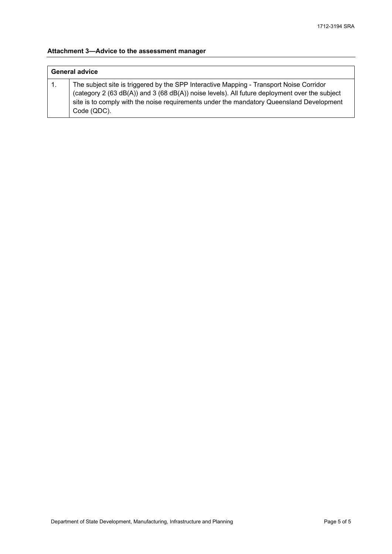# **Attachment 3—Advice to the assessment manager**

| <b>General advice</b> |                                                                                                                                                                                                                                                                                                     |  |
|-----------------------|-----------------------------------------------------------------------------------------------------------------------------------------------------------------------------------------------------------------------------------------------------------------------------------------------------|--|
|                       | The subject site is triggered by the SPP Interactive Mapping - Transport Noise Corridor<br>(category 2 (63 dB(A)) and 3 (68 dB(A)) noise levels). All future deployment over the subject<br>site is to comply with the noise requirements under the mandatory Queensland Development<br>Code (QDC). |  |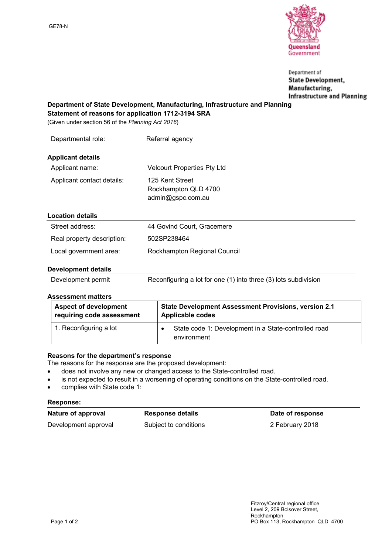

Department of **State Development,** Manufacturing, **Infrastructure and Planning** 

**Department of State Development, Manufacturing, Infrastructure and Planning Statement of reasons for application 1712-3194 SRA**

(Given under section 56 of the *Planning Act 2016*)

| Departmental role:         | Referral agency                                              |
|----------------------------|--------------------------------------------------------------|
| <b>Applicant details</b>   |                                                              |
| Applicant name:            | <b>Velcourt Properties Pty Ltd</b>                           |
| Applicant contact details: | 125 Kent Street<br>Rockhampton QLD 4700<br>admin@gspc.com.au |
| <b>Location details</b>    |                                                              |
| Street address:            | 44 Govind Court, Gracemere                                   |
| Real property description: | 502SP238464                                                  |
| Local government area:     | Rockhampton Regional Council                                 |
| <b>Development details</b> |                                                              |

# **Development details**

| Development permit | Reconfiguring a lot for one (1) into three (3) lots subdivision |  |
|--------------------|-----------------------------------------------------------------|--|
|--------------------|-----------------------------------------------------------------|--|

#### **Assessment matters**

| <b>Aspect of development</b> | <b>State Development Assessment Provisions, version 2.1</b>         |
|------------------------------|---------------------------------------------------------------------|
| requiring code assessment    | <b>Applicable codes</b>                                             |
| 1. Reconfiguring a lot       | State code 1: Development in a State-controlled road<br>environment |

# **Reasons for the department's response**

The reasons for the response are the proposed development:

- does not involve any new or changed access to the State-controlled road.
- is not expected to result in a worsening of operating conditions on the State-controlled road.
- complies with State code 1:

#### **Response:**

| Nature of approval   | <b>Response details</b> | Date of response |
|----------------------|-------------------------|------------------|
| Development approval | Subject to conditions   | 2 February 2018  |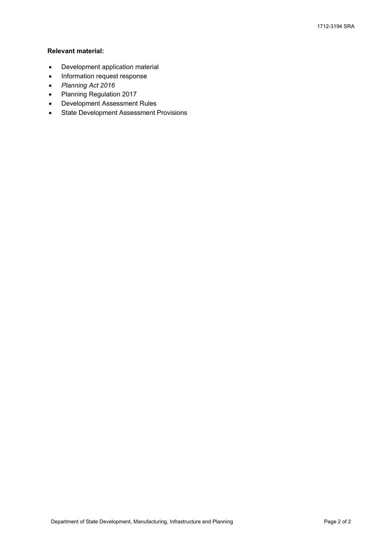# **Relevant material:**

- Development application material
- Information request response
- *Planning Act 2016*
- Planning Regulation 2017
- Development Assessment Rules
- **•** State Development Assessment Provisions